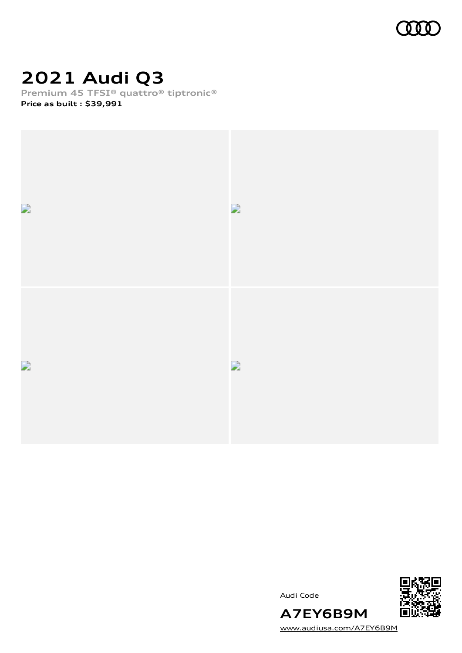

### **2021 Audi Q3**

**Premium 45 TFSI® quattro® tiptronic®**

**Price as built [:](#page-10-0) \$39,991**







[www.audiusa.com/A7EY6B9M](https://www.audiusa.com/A7EY6B9M)

**A7EY6B9M**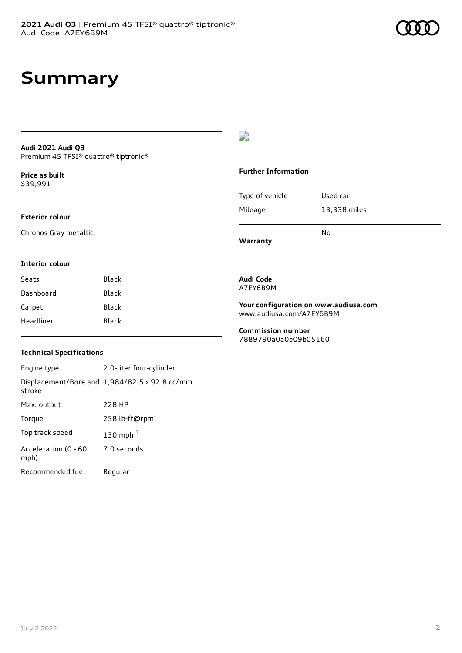### **Summary**

#### **Audi 2021 Audi Q3** Premium 45 TFSI® quattro® tiptronic®

**Price as buil[t](#page-10-0)** \$39,991

#### **Exterior colour**

Chronos Gray metallic

#### D

#### **Further Information**

| Mileage         | 13,338 miles |
|-----------------|--------------|
| Type of vehicle | Used car     |

**Warranty**

#### **Interior colour**

| Seats     | Black |
|-----------|-------|
| Dashboard | Black |
| Carpet    | Black |
| Headliner | Black |

#### **Audi Code** A7EY6B9M

**Your configuration on www.audiusa.com** [www.audiusa.com/A7EY6B9M](https://www.audiusa.com/A7EY6B9M)

**Commission number** 7889790a0a0e09b05160

#### **Technical Specifications**

Engine type 2.0-liter four-cylinder Displacement/Bore and 1,984/82.5 x 92.8 cc/mm stroke Max. output 228 HP Torque 258 lb-ft@rpm Top track speed [1](#page-10-0)30 mph $<sup>1</sup>$ </sup> Acceleration (0 - 60 mph) 7.0 seconds Recommended fuel Regular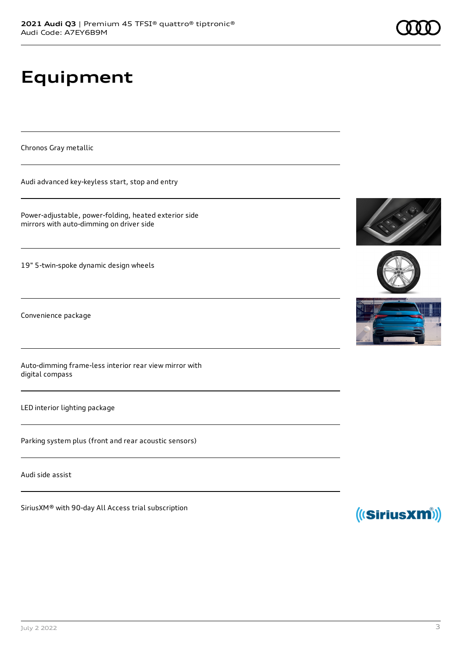# **Equipment**

Chronos Gray metallic

Audi advanced key-keyless start, stop and entry

Power-adjustable, power-folding, heated exterior side mirrors with auto-dimming on driver side

19" 5-twin-spoke dynamic design wheels

Convenience package

Auto-dimming frame-less interior rear view mirror with digital compass

LED interior lighting package

Parking system plus (front and rear acoustic sensors)

Audi side assist

SiriusXM® with 90-day All Access trial subscription







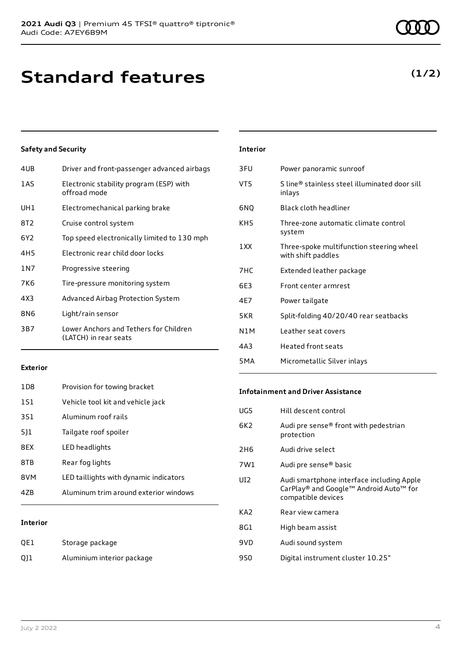### **Standard features**

#### **Safety and Security**

| 4UB   | Driver and front-passenger advanced airbags                     |
|-------|-----------------------------------------------------------------|
| 1AS   | Electronic stability program (ESP) with<br>offroad mode         |
| UH1   | Electromechanical parking brake                                 |
| 8T2   | Cruise control system                                           |
| 6Y2   | Top speed electronically limited to 130 mph                     |
| 4H5   | Electronic rear child door locks                                |
| 1 N 7 | Progressive steering                                            |
| 7K6   | Tire-pressure monitoring system                                 |
| 4X3   | Advanced Airbag Protection System                               |
| 8N6   | Light/rain sensor                                               |
| 3B7   | Lower Anchors and Tethers for Children<br>(LATCH) in rear seats |
|       |                                                                 |

| <b>Interior</b>  |                                                                |
|------------------|----------------------------------------------------------------|
| 3FU              | Power panoramic sunroof                                        |
| VT5              | S line® stainless steel illuminated door sill<br>inlays        |
| 6NQ              | <b>Black cloth headliner</b>                                   |
| KH5              | Three-zone automatic climate control<br>system                 |
| 1 XX             | Three-spoke multifunction steering wheel<br>with shift paddles |
| 7HC              | Extended leather package                                       |
| 6F3              | Front center armrest                                           |
| 4E7              | Power tailgate                                                 |
| 5KR              | Split-folding 40/20/40 rear seatbacks                          |
| N1M              | Leather seat covers                                            |
| 4A3              | Heated front seats                                             |
| 5 <sub>M</sub> A | Micrometallic Silver inlays                                    |

#### **Exterior**

| 47B             | Aluminum trim around exterior windows  |
|-----------------|----------------------------------------|
| 8VM             | LED taillights with dynamic indicators |
| 8TB             | Rear fog lights                        |
| 8FX             | LED headlights                         |
| 511             | Tailgate roof spoiler                  |
| 3S1             | Aluminum roof rails                    |
| 1S1             | Vehicle tool kit and vehicle jack      |
| 1D <sub>8</sub> | Provision for towing bracket           |

#### **Interior**

| QE1 | Storage package            |
|-----|----------------------------|
| Q11 | Aluminium interior package |

#### **Infotainment and Driver Assistance**

| UG5             | Hill descent control                                                                                      |
|-----------------|-----------------------------------------------------------------------------------------------------------|
| 6K <sub>2</sub> | Audi pre sense® front with pedestrian<br>protection                                                       |
| 2H <sub>6</sub> | Audi drive select                                                                                         |
| 7W1             | Audi pre sense <sup>®</sup> basic                                                                         |
| UI <sub>2</sub> | Audi smartphone interface including Apple<br>CarPlay® and Google™ Android Auto™ for<br>compatible devices |
| KA <sub>2</sub> | Rear view camera                                                                                          |
| 8G1             | High beam assist                                                                                          |
| 9VD             | Audi sound system                                                                                         |
| 9S0             | Digital instrument cluster 10.25"                                                                         |

### **(1/2)**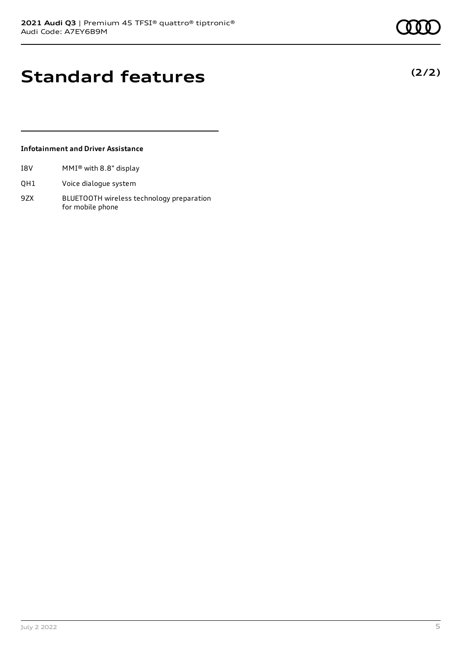**(2/2)**

### **Standard features**

#### **Infotainment and Driver Assistance**

- I8V MMI® with 8.8" display
- QH1 Voice dialogue system
- 9ZX BLUETOOTH wireless technology preparation for mobile phone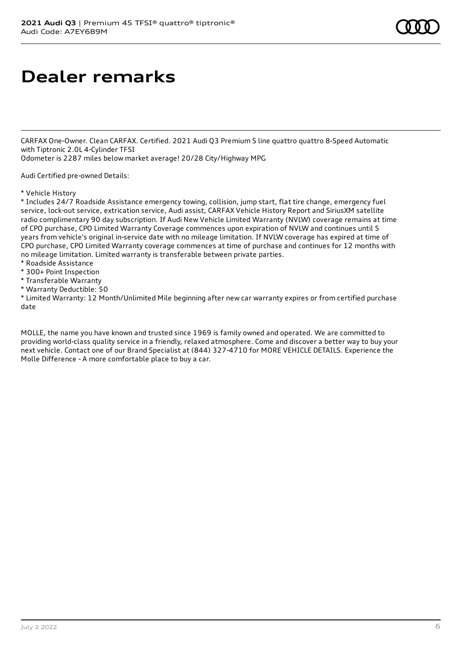### **Dealer remarks**

CARFAX One-Owner. Clean CARFAX. Certified. 2021 Audi Q3 Premium S line quattro quattro 8-Speed Automatic with Tiptronic 2.0L 4-Cylinder TFSI

Odometer is 2287 miles below market average! 20/28 City/Highway MPG

Audi Certified pre-owned Details:

#### \* Vehicle History

\* Includes 24/7 Roadside Assistance emergency towing, collision, jump start, flat tire change, emergency fuel service, lock-out service, extrication service, Audi assist, CARFAX Vehicle History Report and SiriusXM satellite radio complimentary 90 day subscription. If Audi New Vehicle Limited Warranty (NVLW) coverage remains at time of CPO purchase, CPO Limited Warranty Coverage commences upon expiration of NVLW and continues until 5 years from vehicle's original in-service date with no mileage limitation. If NVLW coverage has expired at time of CPO purchase, CPO Limited Warranty coverage commences at time of purchase and continues for 12 months with no mileage limitation. Limited warranty is transferable between private parties.

- \* Roadside Assistance
- \* 300+ Point Inspection
- \* Transferable Warranty
- \* Warranty Deductible: \$0

\* Limited Warranty: 12 Month/Unlimited Mile beginning after new car warranty expires or from certified purchase date

MOLLE, the name you have known and trusted since 1969 is family owned and operated. We are committed to providing world-class quality service in a friendly, relaxed atmosphere. Come and discover a better way to buy your next vehicle. Contact one of our Brand Specialist at (844) 327-4710 for MORE VEHICLE DETAILS. Experience the Molle Difference - A more comfortable place to buy a car.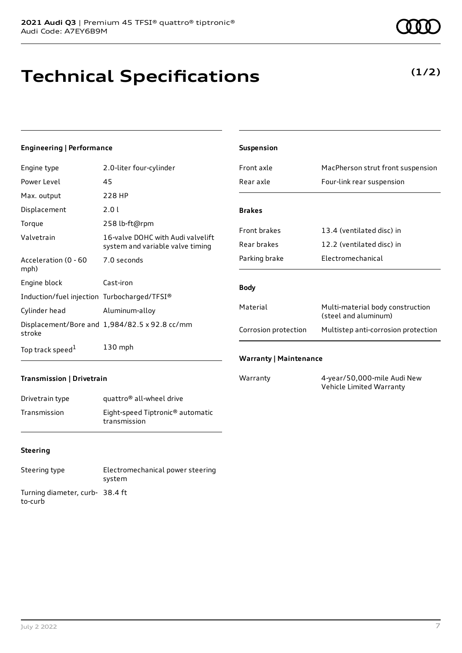## **Technical Specifications**

#### **Engineering | Performance**

| Engine type                                 | 2.0-liter four-cylinder                                               |
|---------------------------------------------|-----------------------------------------------------------------------|
| Power Level                                 | 45                                                                    |
| Max. output                                 | 228 HP                                                                |
| Displacement                                | 2.0 L                                                                 |
| Torque                                      | 258 lb-ft@rpm                                                         |
| Valvetrain                                  | 16-valve DOHC with Audi valvelift<br>system and variable valve timing |
| Acceleration (0 - 60<br>mph)                | 7.0 seconds                                                           |
| Engine block                                | Cast-iron                                                             |
| Induction/fuel injection Turbocharged/TFSI® |                                                                       |
| Cylinder head                               | Aluminum-alloy                                                        |
| stroke                                      | Displacement/Bore and 1,984/82.5 x 92.8 cc/mm                         |
| Top track speed <sup>1</sup>                | $130$ mph                                                             |

| <b>Suspension</b>             |                                                          |  |
|-------------------------------|----------------------------------------------------------|--|
| Front axle                    | MacPherson strut front suspension                        |  |
| Rear axle                     | Four-link rear suspension                                |  |
|                               |                                                          |  |
| <b>Brakes</b>                 |                                                          |  |
| <b>Front brakes</b>           | 13.4 (ventilated disc) in                                |  |
| Rear brakes                   | 12.2 (ventilated disc) in                                |  |
| Parking brake                 | Electromechanical                                        |  |
|                               |                                                          |  |
| <b>Body</b>                   |                                                          |  |
| Material                      | Multi-material body construction<br>(steel and aluminum) |  |
| Corrosion protection          | Multistep anti-corrosion protection                      |  |
|                               |                                                          |  |
| <b>Warranty   Maintenance</b> |                                                          |  |
| Warranty                      | 4-year/50,000-mile Audi New                              |  |

Vehicle Limited Warranty

#### **Transmission | Drivetrain**

| Drivetrain type | quattro <sup>®</sup> all-wheel drive                         |
|-----------------|--------------------------------------------------------------|
| Transmission    | Eight-speed Tiptronic <sup>®</sup> automatic<br>transmission |

#### **Steering**

| Steering type                             | Electromechanical power steering<br>system |
|-------------------------------------------|--------------------------------------------|
| Turning diameter, curb-38.4 ft<br>to-curb |                                            |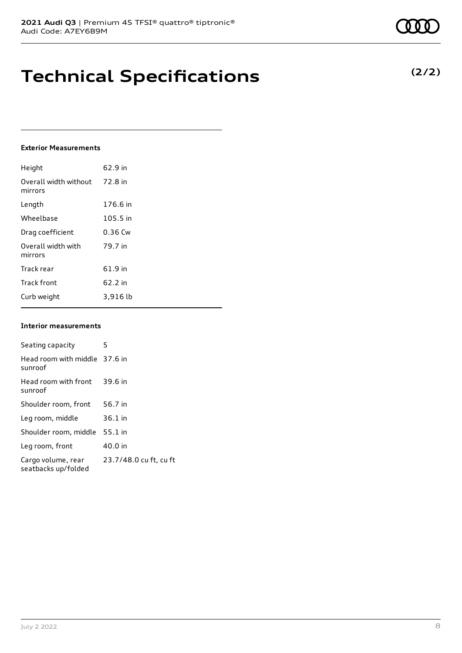### **Technical Specifications**

#### **Exterior Measurements**

| Height                           | 62.9 in   |
|----------------------------------|-----------|
| Overall width without<br>mirrors | 72.8 in   |
| Length                           | 176.6 in  |
| Wheelbase                        | 105.5 in  |
| Drag coefficient                 | $0.36$ Cw |
| Overall width with<br>mirrors    | 79.7 in   |
| Track rear                       | 61.9 in   |
| <b>Track front</b>               | 62.2 in   |
| Curb weight                      | 3,916 lb  |

#### **Interior measurements**

| Seating capacity                          | 5                      |
|-------------------------------------------|------------------------|
| Head room with middle 37.6 in<br>sunroof  |                        |
| Head room with front<br>sunroof           | 39.6 in                |
| Shoulder room, front                      | 56.7 in                |
| Leg room, middle                          | $36.1$ in              |
| Shoulder room, middle                     | $55.1$ in              |
| Leg room, front                           | 40.0 in                |
| Cargo volume, rear<br>seatbacks up/folded | 23.7/48.0 cu ft, cu ft |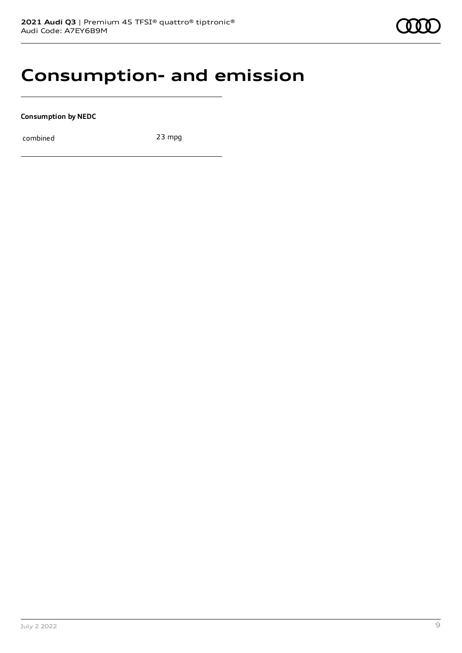### **Consumption- and emission**

**Consumption by NEDC**

combined 23 mpg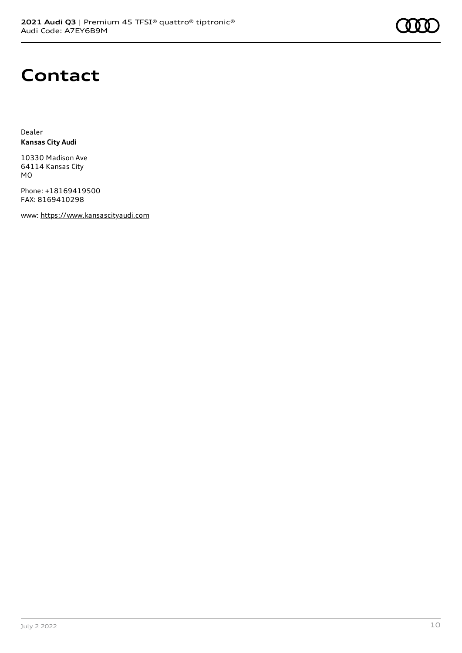

### **Contact**

Dealer **Kansas City Audi**

10330 Madison Ave 64114 Kansas City MO

Phone: +18169419500 FAX: 8169410298

www: [https://www.kansascityaudi.com](https://www.kansascityaudi.com/)